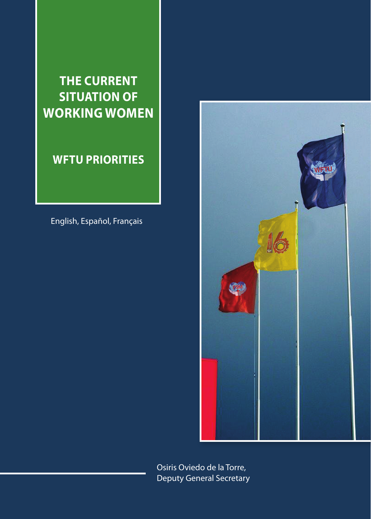### **The current SITUATION OF working women**

### **WFTU priorities**

English, Español, Français



Osiris Oviedo de la Torre, Deputy General Secretary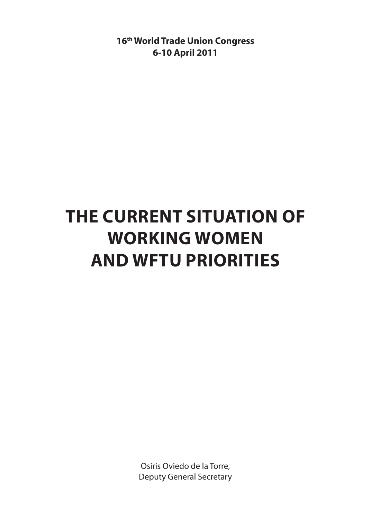**16th World Trade Union Congress 6-10 April 2011**

## **The current situation of working women and WFTU priorities**

Osiris Oviedo de la Torre, Deputy General Secretary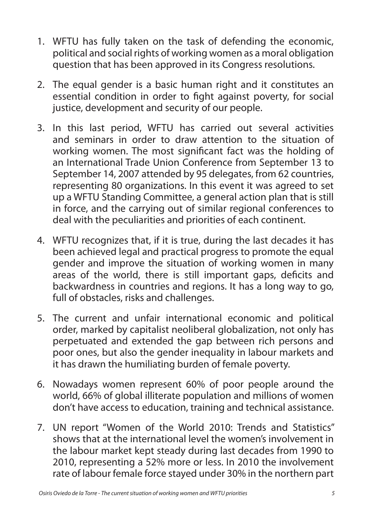- 1. WFTU has fully taken on the task of defending the economic, political and social rights of working women as a moral obligation question that has been approved in its Congress resolutions.
- 2. The equal gender is a basic human right and it constitutes an essential condition in order to fight against poverty, for social justice, development and security of our people.
- 3. In this last period, WFTU has carried out several activities and seminars in order to draw attention to the situation of working women. The most significant fact was the holding of an International Trade Union Conference from September 13 to September 14, 2007 attended by 95 delegates, from 62 countries, representing 80 organizations. In this event it was agreed to set up a WFTU Standing Committee, a general action plan that is still in force, and the carrying out of similar regional conferences to deal with the peculiarities and priorities of each continent.
- 4. WFTU recognizes that, if it is true, during the last decades it has been achieved legal and practical progress to promote the equal gender and improve the situation of working women in many areas of the world, there is still important gaps, deficits and backwardness in countries and regions. It has a long way to go, full of obstacles, risks and challenges.
- 5. The current and unfair international economic and political order, marked by capitalist neoliberal globalization, not only has perpetuated and extended the gap between rich persons and poor ones, but also the gender inequality in labour markets and it has drawn the humiliating burden of female poverty.
- 6. Nowadays women represent 60% of poor people around the world, 66% of global illiterate population and millions of women don't have access to education, training and technical assistance.
- 7. UN report "Women of the World 2010: Trends and Statistics" shows that at the international level the women's involvement in the labour market kept steady during last decades from 1990 to 2010, representing a 52% more or less. In 2010 the involvement rate of labour female force stayed under 30% in the northern part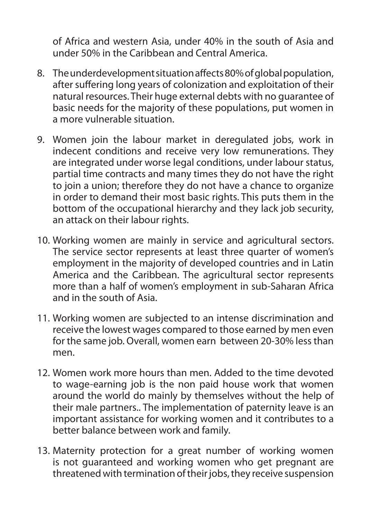of Africa and western Asia, under 40% in the south of Asia and under 50% in the Caribbean and Central America.

- 8. The underdevelopment situation affects 80% of global population, after suffering long years of colonization and exploitation of their natural resources. Their huge external debts with no guarantee of basic needs for the majority of these populations, put women in a more vulnerable situation.
- 9. Women join the labour market in deregulated jobs, work in indecent conditions and receive very low remunerations. They are integrated under worse legal conditions, under labour status, partial time contracts and many times they do not have the right to join a union; therefore they do not have a chance to organize in order to demand their most basic rights. This puts them in the bottom of the occupational hierarchy and they lack job security, an attack on their labour rights.
- 10. Working women are mainly in service and agricultural sectors. The service sector represents at least three quarter of women's employment in the majority of developed countries and in Latin America and the Caribbean. The agricultural sector represents more than a half of women's employment in sub-Saharan Africa and in the south of Asia.
- 11. Working women are subjected to an intense discrimination and receive the lowest wages compared to those earned by men even for the same job. Overall, women earn between 20-30% less than men.
- 12. Women work more hours than men. Added to the time devoted to wage-earning job is the non paid house work that women around the world do mainly by themselves without the help of their male partners.. The implementation of paternity leave is an important assistance for working women and it contributes to a better balance between work and family.
- 13. Maternity protection for a great number of working women is not guaranteed and working women who get pregnant are threatened with termination of their jobs, they receive suspension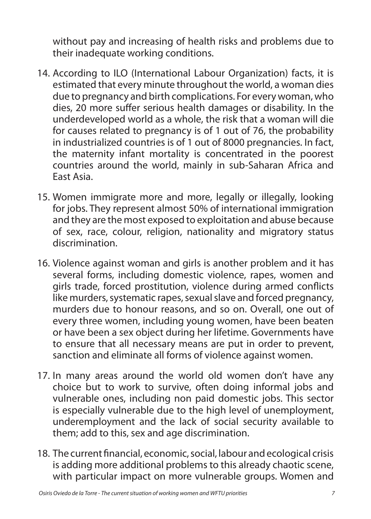without pay and increasing of health risks and problems due to their inadequate working conditions.

- 14. According to ILO (International Labour Organization) facts, it is estimated that every minute throughout the world, a woman dies due to pregnancy and birth complications. For every woman, who dies, 20 more suffer serious health damages or disability. In the underdeveloped world as a whole, the risk that a woman will die for causes related to pregnancy is of 1 out of 76, the probability in industrialized countries is of 1 out of 8000 pregnancies. In fact, the maternity infant mortality is concentrated in the poorest countries around the world, mainly in sub-Saharan Africa and East Asia.
- 15. Women immigrate more and more, legally or illegally, looking for jobs. They represent almost 50% of international immigration and they are the most exposed to exploitation and abuse because of sex, race, colour, religion, nationality and migratory status discrimination.
- 16. Violence against woman and girls is another problem and it has several forms, including domestic violence, rapes, women and girls trade, forced prostitution, violence during armed conflicts like murders, systematic rapes, sexual slave and forced pregnancy, murders due to honour reasons, and so on. Overall, one out of every three women, including young women, have been beaten or have been a sex object during her lifetime. Governments have to ensure that all necessary means are put in order to prevent, sanction and eliminate all forms of violence against women.
- 17. In many areas around the world old women don't have any choice but to work to survive, often doing informal jobs and vulnerable ones, including non paid domestic jobs. This sector is especially vulnerable due to the high level of unemployment, underemployment and the lack of social security available to them; add to this, sex and age discrimination.
- 18. The current financial, economic, social, labour and ecological crisis is adding more additional problems to this already chaotic scene, with particular impact on more vulnerable groups. Women and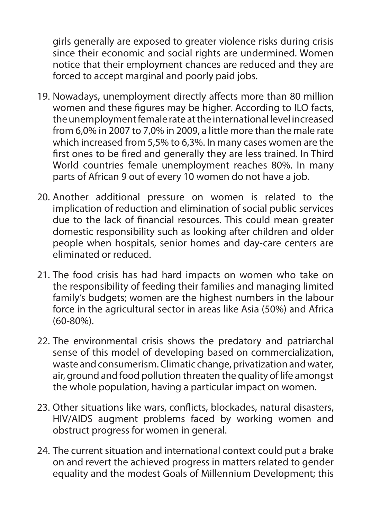girls generally are exposed to greater violence risks during crisis since their economic and social rights are undermined. Women notice that their employment chances are reduced and they are forced to accept marginal and poorly paid jobs.

- 19. Nowadays, unemployment directly affects more than 80 million women and these figures may be higher. According to ILO facts, the unemployment female rate at the international level increased from 6,0% in 2007 to 7,0% in 2009, a little more than the male rate which increased from 5,5% to 6,3%. In many cases women are the first ones to be fired and generally they are less trained. In Third World countries female unemployment reaches 80%. In many parts of African 9 out of every 10 women do not have a job.
- 20. Another additional pressure on women is related to the implication of reduction and elimination of social public services due to the lack of financial resources. This could mean greater domestic responsibility such as looking after children and older people when hospitals, senior homes and day-care centers are eliminated or reduced.
- 21. The food crisis has had hard impacts on women who take on the responsibility of feeding their families and managing limited family's budgets; women are the highest numbers in the labour force in the agricultural sector in areas like Asia (50%) and Africa (60-80%).
- 22. The environmental crisis shows the predatory and patriarchal sense of this model of developing based on commercialization, waste and consumerism. Climatic change, privatization and water, air, ground and food pollution threaten the quality of life amongst the whole population, having a particular impact on women.
- 23. Other situations like wars, conflicts, blockades, natural disasters, HIV/AIDS augment problems faced by working women and obstruct progress for women in general.
- 24. The current situation and international context could put a brake on and revert the achieved progress in matters related to gender equality and the modest Goals of Millennium Development; this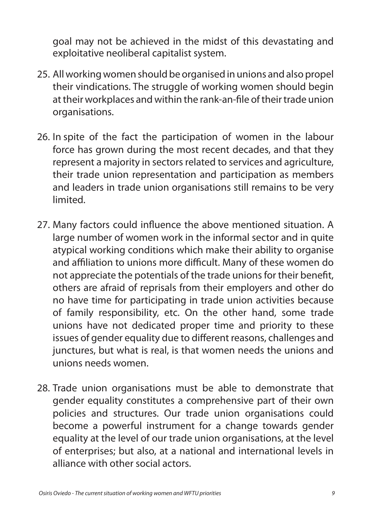goal may not be achieved in the midst of this devastating and exploitative neoliberal capitalist system.

- 25. All working women should be organised in unions and also propel their vindications. The struggle of working women should begin at their workplaces and within the rank-an-file of their trade union organisations.
- 26. In spite of the fact the participation of women in the labour force has grown during the most recent decades, and that they represent a majority in sectors related to services and agriculture, their trade union representation and participation as members and leaders in trade union organisations still remains to be very limited.
- 27. Many factors could influence the above mentioned situation. A large number of women work in the informal sector and in quite atypical working conditions which make their ability to organise and affiliation to unions more difficult. Many of these women do not appreciate the potentials of the trade unions for their benefit, others are afraid of reprisals from their employers and other do no have time for participating in trade union activities because of family responsibility, etc. On the other hand, some trade unions have not dedicated proper time and priority to these issues of gender equality due to different reasons, challenges and junctures, but what is real, is that women needs the unions and unions needs women.
- 28. Trade union organisations must be able to demonstrate that gender equality constitutes a comprehensive part of their own policies and structures. Our trade union organisations could become a powerful instrument for a change towards gender equality at the level of our trade union organisations, at the level of enterprises; but also, at a national and international levels in alliance with other social actors.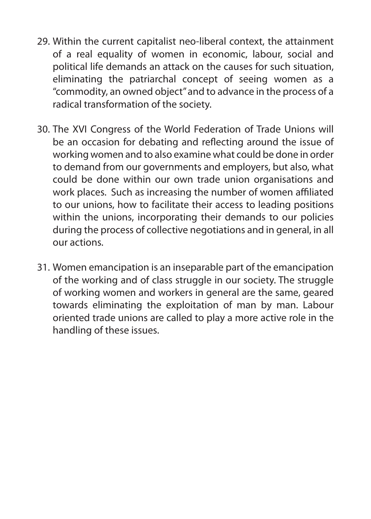- 29. Within the current capitalist neo-liberal context, the attainment of a real equality of women in economic, labour, social and political life demands an attack on the causes for such situation, eliminating the patriarchal concept of seeing women as a "commodity, an owned object" and to advance in the process of a radical transformation of the society.
- 30. The XVI Congress of the World Federation of Trade Unions will be an occasion for debating and reflecting around the issue of working women and to also examine what could be done in order to demand from our governments and employers, but also, what could be done within our own trade union organisations and work places. Such as increasing the number of women affiliated to our unions, how to facilitate their access to leading positions within the unions, incorporating their demands to our policies during the process of collective negotiations and in general, in all our actions.
- 31. Women emancipation is an inseparable part of the emancipation of the working and of class struggle in our society. The struggle of working women and workers in general are the same, geared towards eliminating the exploitation of man by man. Labour oriented trade unions are called to play a more active role in the handling of these issues.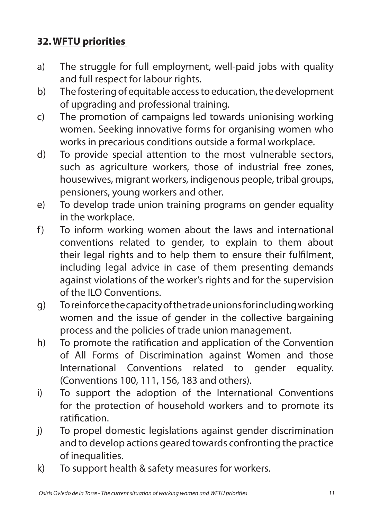### **32.WFTU priorities**

- a) The struggle for full employment, well-paid jobs with quality and full respect for labour rights.
- b) The fostering of equitable accessto education, the development of upgrading and professional training.
- c) The promotion of campaigns led towards unionising working women. Seeking innovative forms for organising women who works in precarious conditions outside a formal workplace.
- d) To provide special attention to the most vulnerable sectors, such as agriculture workers, those of industrial free zones, housewives, migrant workers, indigenous people, tribal groups, pensioners, young workers and other.
- e) To develop trade union training programs on gender equality in the workplace.
- f) To inform working women about the laws and international conventions related to gender, to explain to them about their legal rights and to help them to ensure their fulfilment, including legal advice in case of them presenting demands against violations of the worker's rights and for the supervision of the ILO Conventions.
- g) Toreinforcethecapacityofthetradeunionsforincludingworking women and the issue of gender in the collective bargaining process and the policies of trade union management.
- h) To promote the ratification and application of the Convention of All Forms of Discrimination against Women and those International Conventions related to gender equality. (Conventions 100, 111, 156, 183 and others).
- i) To support the adoption of the International Conventions for the protection of household workers and to promote its ratification.
- j) To propel domestic legislations against gender discrimination and to develop actions geared towards confronting the practice of inequalities.
- k) To support health & safety measures for workers.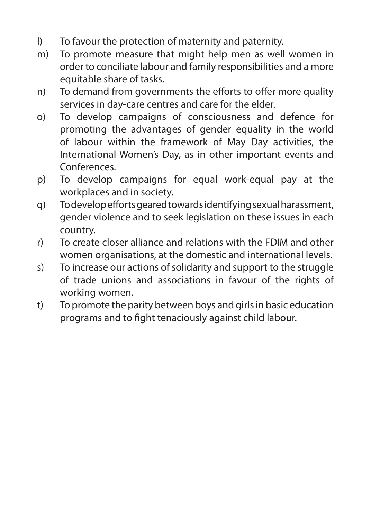- l) To favour the protection of maternity and paternity.
- m) To promote measure that might help men as well women in order to conciliate labour and family responsibilities and a more equitable share of tasks.
- n) To demand from governments the efforts to offer more quality services in day-care centres and care for the elder.
- o) To develop campaigns of consciousness and defence for promoting the advantages of gender equality in the world of labour within the framework of May Day activities, the International Women's Day, as in other important events and Conferences.
- p) To develop campaigns for equal work-equal pay at the workplaces and in society.
- q) Todevelopeffortsgearedtowardsidentifyingsexualharassment, gender violence and to seek legislation on these issues in each country.
- r) To create closer alliance and relations with the FDIM and other women organisations, at the domestic and international levels.
- s) To increase our actions of solidarity and support to the struggle of trade unions and associations in favour of the rights of working women.
- t) To promote the parity between boys and girlsin basic education programs and to fight tenaciously against child labour.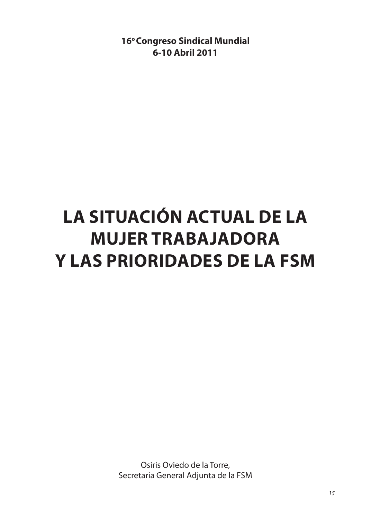**16° Congreso Sindical Mundial 6-10 Abril 2011**

# **La situación actual de la mujer trabajadora y las prioridades de la FSM**

Osiris Oviedo de la Torre, Secretaria General Adjunta de la FSM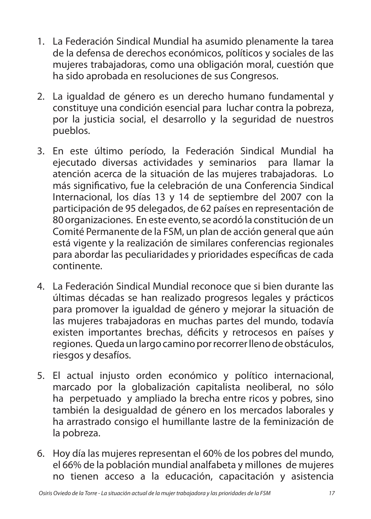- 1. La Federación Sindical Mundial ha asumido plenamente la tarea de la defensa de derechos económicos, políticos y sociales de las mujeres trabajadoras, como una obligación moral, cuestión que ha sido aprobada en resoluciones de sus Congresos.
- 2. La igualdad de género es un derecho humano fundamental y constituye una condición esencial para luchar contra la pobreza, por la justicia social, el desarrollo y la seguridad de nuestros pueblos.
- 3. En este último período, la Federación Sindical Mundial ha ejecutado diversas actividades y seminarios para llamar la atención acerca de la situación de las mujeres trabajadoras. Lo más significativo, fue la celebración de una Conferencia Sindical Internacional, los días 13 y 14 de septiembre del 2007 con la participación de 95 delegados, de 62 países en representación de 80 organizaciones. En este evento, se acordó la constitución de un Comité Permanente de la FSM, un plan de acción general que aún está vigente y la realización de similares conferencias regionales para abordar las peculiaridades y prioridades específicas de cada continente.
- 4. La Federación Sindical Mundial reconoce que si bien durante las últimas décadas se han realizado progresos legales y prácticos para promover la igualdad de género y mejorar la situación de las mujeres trabajadoras en muchas partes del mundo, todavía existen importantes brechas, déficits y retrocesos en países y regiones. Queda un largo camino por recorrer lleno de obstáculos, riesgos y desafíos.
- 5. El actual injusto orden económico y político internacional, marcado por la globalización capitalista neoliberal, no sólo ha perpetuado y ampliado la brecha entre ricos y pobres, sino también la desigualdad de género en los mercados laborales y ha arrastrado consigo el humillante lastre de la feminización de la pobreza.
- 6. Hoy día las mujeres representan el 60% de los pobres del mundo, el 66% de la población mundial analfabeta y millones de mujeres no tienen acceso a la educación, capacitación y asistencia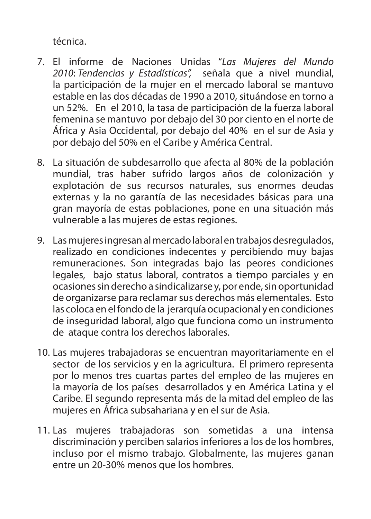técnica.

- 7. El informe de Naciones Unidas "*Las Mujeres del Mundo 2010*: *Tendencias y Estadísticas",* señala que a nivel mundial, la participación de la mujer en el mercado laboral se mantuvo estable en las dos décadas de 1990 a 2010, situándose en torno a un 52%. En el 2010, la tasa de participación de la fuerza laboral femenina se mantuvo por debajo del 30 por ciento en el norte de África y Asia Occidental, por debajo del 40% en el sur de Asia y por debajo del 50% en el Caribe y América Central.
- 8. La situación de subdesarrollo que afecta al 80% de la población mundial, tras haber sufrido largos años de colonización y explotación de sus recursos naturales, sus enormes deudas externas y la no garantía de las necesidades básicas para una gran mayoría de estas poblaciones, pone en una situación más vulnerable a las mujeres de estas regiones.
- 9. Las mujeres ingresan al mercado laboral en trabajos desregulados, realizado en condiciones indecentes y percibiendo muy bajas remuneraciones. Son integradas bajo las peores condiciones legales, bajo status laboral, contratos a tiempo parciales y en ocasiones sin derecho a sindicalizarse y, por ende, sin oportunidad de organizarse para reclamar sus derechos más elementales. Esto las coloca en el fondo de la jerarquía ocupacional y en condiciones de inseguridad laboral, algo que funciona como un instrumento de ataque contra los derechos laborales.
- 10. Las mujeres trabajadoras se encuentran mayoritariamente en el sector de los servicios y en la agricultura. El primero representa por lo menos tres cuartas partes del empleo de las mujeres en la mayoría de los países desarrollados y en América Latina y el Caribe. El segundo representa más de la mitad del empleo de las mujeres en África subsahariana y en el sur de Asia.
- 11. Las mujeres trabajadoras son sometidas a una intensa discriminación y perciben salarios inferiores a los de los hombres, incluso por el mismo trabajo. Globalmente, las mujeres ganan entre un 20-30% menos que los hombres.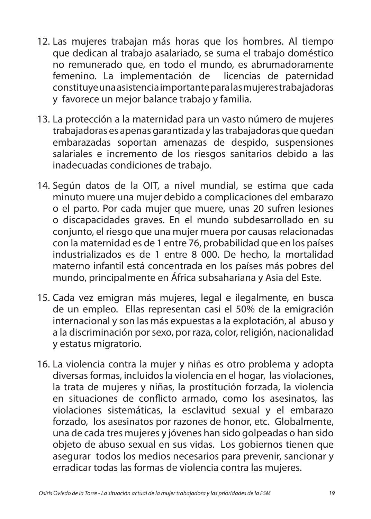- 12. Las mujeres trabajan más horas que los hombres. Al tiempo que dedican al trabajo asalariado, se suma el trabajo doméstico no remunerado que, en todo el mundo, es abrumadoramente femenino. La implementación de licencias de paternidad constituye una asistencia importante para las mujeres trabajadoras y favorece un mejor balance trabajo y familia.
- 13. La protección a la maternidad para un vasto número de mujeres trabajadoras es apenas garantizada y las trabajadoras que quedan embarazadas soportan amenazas de despido, suspensiones salariales e incremento de los riesgos sanitarios debido a las inadecuadas condiciones de trabajo.
- 14. Según datos de la OIT, a nivel mundial, se estima que cada minuto muere una mujer debido a complicaciones del embarazo o el parto. Por cada mujer que muere, unas 20 sufren lesiones o discapacidades graves. En el mundo subdesarrollado en su conjunto, el riesgo que una mujer muera por causas relacionadas con la maternidad es de 1 entre 76, probabilidad que en los países industrializados es de 1 entre 8 000. De hecho, la mortalidad materno infantil está concentrada en los países más pobres del mundo, principalmente en África subsahariana y Asia del Este.
- 15. Cada vez emigran más mujeres, legal e ilegalmente, en busca de un empleo. Ellas representan casi el 50% de la emigración internacional y son las más expuestas a la explotación, al abuso y a la discriminación por sexo, por raza, color, religión, nacionalidad y estatus migratorio.
- 16. La violencia contra la mujer y niñas es otro problema y adopta diversas formas, incluidos la violencia en el hogar, las violaciones, la trata de mujeres y niñas, la prostitución forzada, la violencia en situaciones de conflicto armado, como los asesinatos, las violaciones sistemáticas, la esclavitud sexual y el embarazo forzado, los asesinatos por razones de honor, etc. Globalmente, una de cada tres mujeres y jóvenes han sido golpeadas o han sido objeto de abuso sexual en sus vidas. Los gobiernos tienen que asegurar todos los medios necesarios para prevenir, sancionar y erradicar todas las formas de violencia contra las mujeres.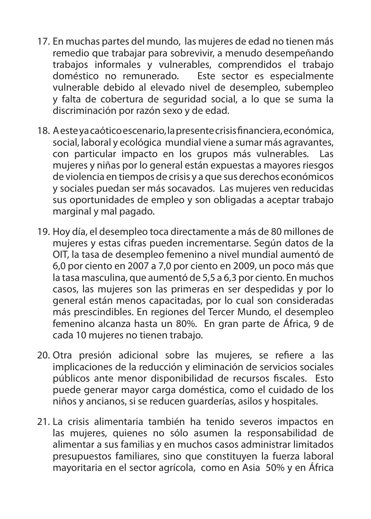- 17. En muchas partes del mundo, las mujeres de edad no tienen más remedio que trabajar para sobrevivir, a menudo desempeñando trabajos informales y vulnerables, comprendidos el trabajo doméstico no remunerado. Este sector es especialmente vulnerable debido al elevado nivel de desempleo, subempleo y falta de cobertura de seguridad social, a lo que se suma la discriminación por razón sexo y de edad.
- 18. A este ya caótico escenario, la presente crisis financiera, económica, social, laboral y ecológica mundial viene a sumar más agravantes, con particular impacto en los grupos más vulnerables. Las mujeres y niñas por lo general están expuestas a mayores riesgos de violencia en tiempos de crisis y a que sus derechos económicos y sociales puedan ser más socavados. Las mujeres ven reducidas sus oportunidades de empleo y son obligadas a aceptar trabajo marginal y mal pagado.
- 19. Hoy día, el desempleo toca directamente a más de 80 millones de mujeres y estas cifras pueden incrementarse. Según datos de la OIT, la tasa de desempleo femenino a nivel mundial aumentó de 6,0 por ciento en 2007 a 7,0 por ciento en 2009, un poco más que la tasa masculina, que aumentó de 5,5 a 6,3 por ciento. En muchos casos, las mujeres son las primeras en ser despedidas y por lo general están menos capacitadas, por lo cual son consideradas más prescindibles. En regiones del Tercer Mundo, el desempleo femenino alcanza hasta un 80%. En gran parte de África, 9 de cada 10 mujeres no tienen trabajo.
- 20. Otra presión adicional sobre las mujeres, se refiere a las implicaciones de la reducción y eliminación de servicios sociales públicos ante menor disponibilidad de recursos fiscales. Esto puede generar mayor carga doméstica, como el cuidado de los niños y ancianos, si se reducen guarderías, asilos y hospitales.
- 21. La crisis alimentaria también ha tenido severos impactos en las mujeres, quienes no sólo asumen la responsabilidad de alimentar a sus familias y en muchos casos administrar limitados presupuestos familiares, sino que constituyen la fuerza laboral mayoritaria en el sector agrícola, como en Asia 50% y en África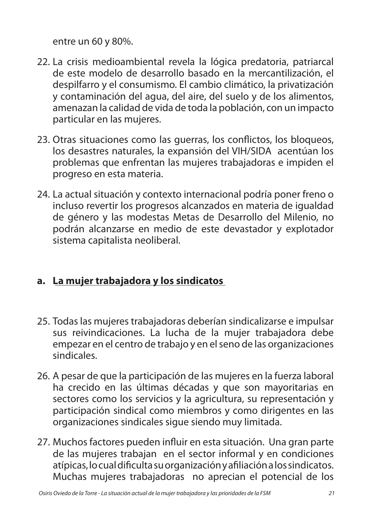entre un 60 y 80%.

- 22. La crisis medioambiental revela la lógica predatoria, patriarcal de este modelo de desarrollo basado en la mercantilización, el despilfarro y el consumismo. El cambio climático, la privatización y contaminación del agua, del aire, del suelo y de los alimentos, amenazan la calidad de vida de toda la población, con un impacto particular en las mujeres.
- 23. Otras situaciones como las guerras, los conflictos, los bloqueos, los desastres naturales, la expansión del VIH/SIDA acentúan los problemas que enfrentan las mujeres trabajadoras e impiden el progreso en esta materia.
- 24. La actual situación y contexto internacional podría poner freno o incluso revertir los progresos alcanzados en materia de igualdad de género y las modestas Metas de Desarrollo del Milenio, no podrán alcanzarse en medio de este devastador y explotador sistema capitalista neoliberal.

#### **a. La mujer trabajadora y los sindicatos**

- 25. Todas las mujeres trabajadoras deberían sindicalizarse e impulsar sus reivindicaciones. La lucha de la mujer trabajadora debe empezar en el centro de trabajo y en el seno de las organizaciones sindicales.
- 26. A pesar de que la participación de las mujeres en la fuerza laboral ha crecido en las últimas décadas y que son mayoritarias en sectores como los servicios y la agricultura, su representación y participación sindical como miembros y como dirigentes en las organizaciones sindicales sigue siendo muy limitada.
- 27. Muchos factores pueden influir en esta situación. Una gran parte de las mujeres trabajan en el sector informal y en condiciones atípicas, locualdificultasuorganizaciónyafiliaciónalossindicatos. Muchas mujeres trabajadoras no aprecian el potencial de los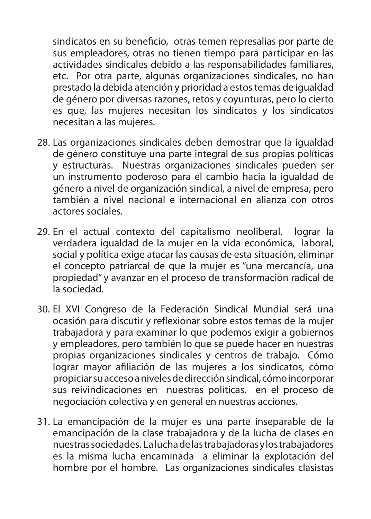sindicatos en su beneficio, otras temen represalias por parte de sus empleadores, otras no tienen tiempo para participar en las actividades sindicales debido a las responsabilidades familiares, etc. Por otra parte, algunas organizaciones sindicales, no han prestado la debida atención y prioridad a estostemas de igualdad de género por diversas razones, retos y coyunturas, pero lo cierto es que, las mujeres necesitan los sindicatos y los sindicatos necesitan a las mujeres.

- 28. Las organizaciones sindicales deben demostrar que la igualdad de género constituye una parte integral de sus propias políticas y estructuras. Nuestras organizaciones sindicales pueden ser un instrumento poderoso para el cambio hacia la igualdad de género a nivel de organización sindical, a nivel de empresa, pero también a nivel nacional e internacional en alianza con otros actores sociales.
- 29. En el actual contexto del capitalismo neoliberal, lograr la verdadera igualdad de la mujer en la vida económica, laboral, social y política exige atacar las causas de esta situación, eliminar el concepto patriarcal de que la mujer es "una mercancía, una propiedad" y avanzar en el proceso de transformación radical de la sociedad.
- 30. El XVI Congreso de la Federación Sindical Mundial será una ocasión para discutir y reflexionar sobre estos temas de la mujer trabajadora y para examinar lo que podemos exigir a gobiernos y empleadores, pero también lo que se puede hacer en nuestras propias organizaciones sindicales y centros de trabajo. Cómo lograr mayor afiliación de las mujeres a los sindicatos, cómo propiciarsuaccesoanivelesdedirecciónsindical, cómoincorporar sus reivindicaciones en nuestras políticas, en el proceso de negociación colectiva y en general en nuestras acciones.
- 31. La emancipación de la mujer es una parte inseparable de la emancipación de la clase trabajadora y de la lucha de clases en nuestrassociedades. Laluchadelastrabajadorasylostrabajadores es la misma lucha encaminada a eliminar la explotación del hombre por el hombre. Las organizaciones sindicales clasistas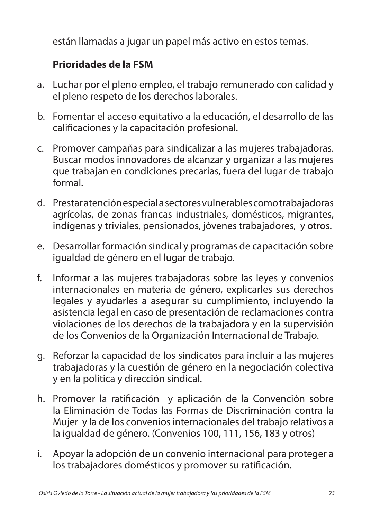están llamadas a jugar un papel más activo en estos temas.

#### **Prioridades de la FSM**

- a. Luchar por el pleno empleo, el trabajo remunerado con calidad y el pleno respeto de los derechos laborales.
- b. Fomentar el acceso equitativo a la educación, el desarrollo de las calificaciones y la capacitación profesional.
- c. Promover campañas para sindicalizar a las mujeres trabajadoras. Buscar modos innovadores de alcanzar y organizar a las mujeres que trabajan en condiciones precarias, fuera del lugar de trabajo formal.
- d. Prestaratenciónespecialasectoresvulnerablescomotrabajadoras agrícolas, de zonas francas industriales, domésticos, migrantes, indígenas y triviales, pensionados, jóvenes trabajadores, y otros.
- e. Desarrollar formación sindical y programas de capacitación sobre igualdad de género en el lugar de trabajo.
- f. Informar a las mujeres trabajadoras sobre las leyes y convenios internacionales en materia de género, explicarles sus derechos legales y ayudarles a asegurar su cumplimiento, incluyendo la asistencia legal en caso de presentación de reclamaciones contra violaciones de los derechos de la trabajadora y en la supervisión de los Convenios de la Organización Internacional de Trabajo.
- g. Reforzar la capacidad de los sindicatos para incluir a las mujeres trabajadoras y la cuestión de género en la negociación colectiva y en la política y dirección sindical.
- h. Promover la ratificación y aplicación de la Convención sobre la Eliminación de Todas las Formas de Discriminación contra la Mujer y la de los convenios internacionales del trabajo relativos a la igualdad de género. (Convenios 100, 111, 156, 183 y otros)
- i. Apoyar la adopción de un convenio internacional para proteger a los trabajadores domésticos y promover su ratificación.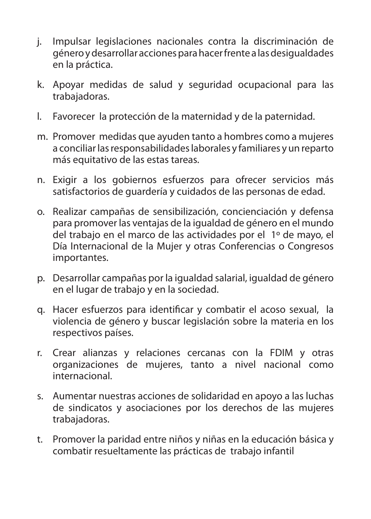- j. Impulsar legislaciones nacionales contra la discriminación de géneroydesarrollar accionesparahacerfrentea lasdesigualdades en la práctica.
- k. Apoyar medidas de salud y seguridad ocupacional para las trabajadoras.
- l. Favorecer la protección de la maternidad y de la paternidad.
- m. Promover medidas que ayuden tanto a hombres como a mujeres a conciliar las responsabilidades laborales y familiares y un reparto más equitativo de las estas tareas.
- n. Exigir a los gobiernos esfuerzos para ofrecer servicios más satisfactorios de guardería y cuidados de las personas de edad.
- o. Realizar campañas de sensibilización, concienciación y defensa para promover las ventajas de la igualdad de género en el mundo del trabajo en el marco de las actividades por el 1º de mayo, el Día Internacional de la Mujer y otras Conferencias o Congresos importantes.
- p. Desarrollar campañas por la igualdad salarial, igualdad de género en el lugar de trabajo y en la sociedad.
- q. Hacer esfuerzos para identificar y combatir el acoso sexual, la violencia de género y buscar legislación sobre la materia en los respectivos países.
- r. Crear alianzas y relaciones cercanas con la FDIM y otras organizaciones de mujeres, tanto a nivel nacional como internacional.
- s. Aumentar nuestras acciones de solidaridad en apoyo a las luchas de sindicatos y asociaciones por los derechos de las mujeres trabajadoras.
- t. Promover la paridad entre niños y niñas en la educación básica y combatir resueltamente las prácticas de trabajo infantil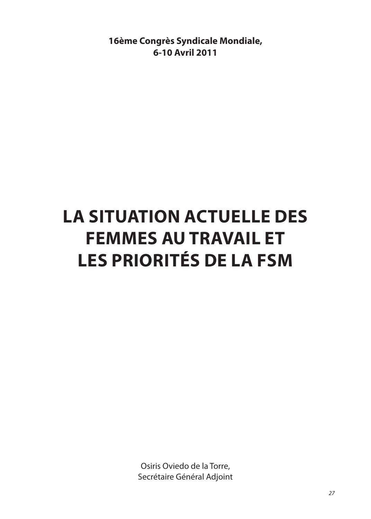**16ème Congrès Syndicale Mondiale, 6-10 Avril 2011**

# **La situation actuelle des femmes au travail et les priorités de la FSM**

Osiris Oviedo de la Torre, Secrétaire Général Adjoint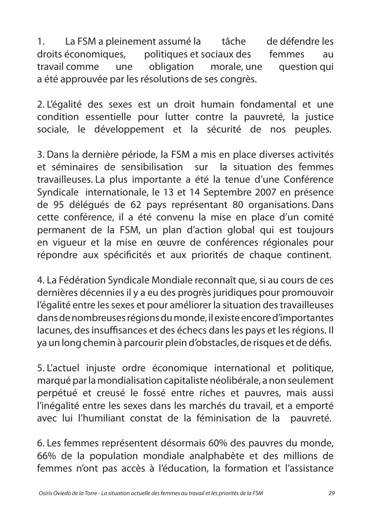1. La FSM a pleinement assumé la tâche de défendre les droits économiques, politiques et sociaux des femmes au travail comme une obligation morale, une question qui a été approuvée par les résolutions de ses congrès.

2. L'égalité des sexes est un droit humain fondamental et une condition essentielle pour lutter contre la pauvreté, la justice sociale, le développement et la sécurité de nos peuples.

3. Dans la dernière période, la FSM a mis en place diverses activités et séminaires de sensibilisation sur la situation des femmes travailleuses. La plus importante a été la tenue d'une Conférence Syndicale internationale, le 13 et 14 Septembre 2007 en présence de 95 délégués de 62 pays représentant 80 organisations. Dans cette conférence, il a été convenu la mise en place d'un comité permanent de la FSM, un plan d'action global qui est toujours en vigueur et la mise en œuvre de conférences régionales pour répondre aux spécificités et aux priorités de chaque continent.

4. La Fédération Syndicale Mondiale reconnaît que, si au cours de ces dernières décennies il y a eu des progrès juridiques pour promouvoir l'égalité entre les sexes et pour améliorer la situation des travailleuses dans de nombreuses régions du monde, il existe encore d'importantes lacunes, des insuffisances et des échecs dans les pays et les régions. Il ya un long chemin à parcourir plein d'obstacles, de risques et de défis.

5. L'actuel injuste ordre économique international et politique, marqué par la mondialisation capitaliste néolibérale, a non seulement perpétué et creusé le fossé entre riches et pauvres, mais aussi l'inégalité entre les sexes dans les marchés du travail, et a emporté avec lui l'humiliant constat de la féminisation de la pauvreté.

6. Les femmes représentent désormais 60% des pauvres du monde, 66% de la population mondiale analphabète et des millions de femmes n'ont pas accès à l'éducation, la formation et l'assistance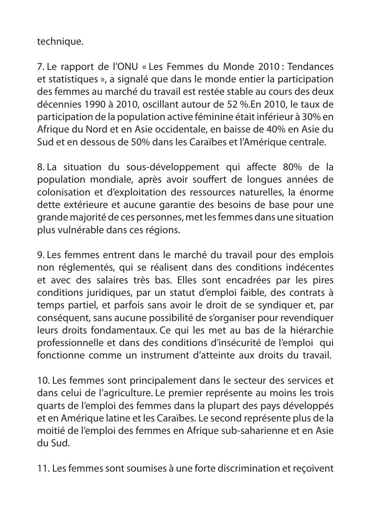technique.

7. Le rapport de l'ONU « Les Femmes du Monde 2010 : Tendances et statistiques », a signalé que dans le monde entier la participation des femmes au marché du travail est restée stable au cours des deux décennies 1990 à 2010, oscillant autour de 52 %.En 2010, le taux de participation de la population active féminine était inférieur à 30% en Afrique du Nord et en Asie occidentale, en baisse de 40% en Asie du Sud et en dessous de 50% dans les Caraïbes et l'Amérique centrale.

8. La situation du sous-développement qui affecte 80% de la population mondiale, après avoir souffert de longues années de colonisation et d'exploitation des ressources naturelles, la énorme dette extérieure et aucune garantie des besoins de base pour une grande majorité de ces personnes, met les femmes dans une situation plus vulnérable dans ces régions.

9. Les femmes entrent dans le marché du travail pour des emplois non réglementés, qui se réalisent dans des conditions indécentes et avec des salaires très bas. Elles sont encadrées par les pires conditions juridiques, par un statut d'emploi faible, des contrats à temps partiel, et parfois sans avoir le droit de se syndiquer et, par conséquent, sans aucune possibilité de s'organiser pour revendiquer leurs droits fondamentaux. Ce qui les met au bas de la hiérarchie professionnelle et dans des conditions d'insécurité de l'emploi qui fonctionne comme un instrument d'atteinte aux droits du travail.

10. Les femmes sont principalement dans le secteur des services et dans celui de l'agriculture. Le premier représente au moins les trois quarts de l'emploi des femmes dans la plupart des pays développés et en Amérique latine et les Caraïbes. Le second représente plus de la moitié de l'emploi des femmes en Afrique sub-saharienne et en Asie du Sud.

11. Les femmes sont soumises à une forte discrimination et reçoivent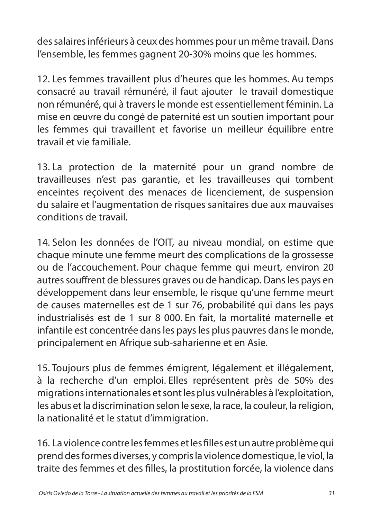des salaires inférieurs à ceux des hommes pour un même travail. Dans l'ensemble, les femmes gagnent 20-30% moins que les hommes.

12. Les femmes travaillent plus d'heures que les hommes. Au temps consacré au travail rémunéré, il faut ajouter le travail domestique non rémunéré, qui à travers le monde est essentiellement féminin. La mise en œuvre du congé de paternité est un soutien important pour les femmes qui travaillent et favorise un meilleur équilibre entre travail et vie familiale.

13. La protection de la maternité pour un grand nombre de travailleuses n'est pas garantie, et les travailleuses qui tombent enceintes reçoivent des menaces de licenciement, de suspension du salaire et l'augmentation de risques sanitaires due aux mauvaises conditions de travail.

14. Selon les données de l'OIT, au niveau mondial, on estime que chaque minute une femme meurt des complications de la grossesse ou de l'accouchement. Pour chaque femme qui meurt, environ 20 autres souffrent de blessures graves ou de handicap. Dans les pays en développement dans leur ensemble, le risque qu'une femme meurt de causes maternelles est de 1 sur 76, probabilité qui dans les pays industrialisés est de 1 sur 8 000. En fait, la mortalité maternelle et infantile est concentrée dans les pays les plus pauvres dans le monde, principalement en Afrique sub-saharienne et en Asie.

15. Toujours plus de femmes émigrent, légalement et illégalement, à la recherche d'un emploi. Elles représentent près de 50% des migrations internationales et sont les plus vulnérables à l'exploitation, les abus et la discrimination selon le sexe, la race, la couleur, la religion, la nationalité et le statut d'immigration.

16. La violence contre les femmes et les filles est un autre problème qui prend des formes diverses, y compris la violence domestique, le viol, la traite des femmes et des filles, la prostitution forcée, la violence dans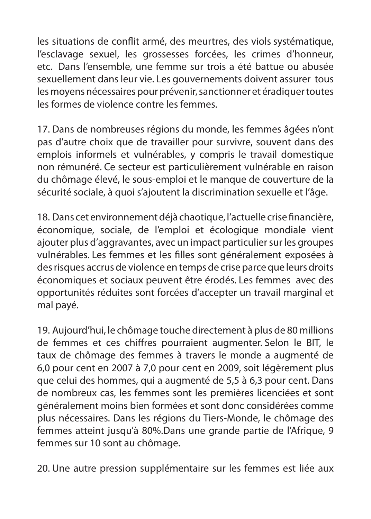les situations de conflit armé, des meurtres, des viols systématique, l'esclavage sexuel, les grossesses forcées, les crimes d'honneur, etc. Dans l'ensemble, une femme sur trois a été battue ou abusée sexuellement dans leur vie. Les gouvernements doivent assurer tous les moyens nécessaires pour prévenir, sanctionner et éradiquer toutes les formes de violence contre les femmes.

17. Dans de nombreuses régions du monde, les femmes âgées n'ont pas d'autre choix que de travailler pour survivre, souvent dans des emplois informels et vulnérables, y compris le travail domestique non rémunéré. Ce secteur est particulièrement vulnérable en raison du chômage élevé, le sous-emploi et le manque de couverture de la sécurité sociale, à quoi s'ajoutent la discrimination sexuelle et l'âge.

18. Dans cet environnement déjà chaotique, l'actuelle crise financière, économique, sociale, de l'emploi et écologique mondiale vient ajouter plus d'aggravantes, avec un impact particulier sur les groupes vulnérables. Les femmes et les filles sont généralement exposées à des risques accrus de violence en temps de crise parce que leurs droits économiques et sociaux peuvent être érodés. Les femmes avec des opportunités réduites sont forcées d'accepter un travail marginal et mal payé.

19. Aujourd'hui, le chômage touche directement à plus de 80 millions de femmes et ces chiffres pourraient augmenter. Selon le BIT, le taux de chômage des femmes à travers le monde a augmenté de 6,0 pour cent en 2007 à 7,0 pour cent en 2009, soit légèrement plus que celui des hommes, qui a augmenté de 5,5 à 6,3 pour cent. Dans de nombreux cas, les femmes sont les premières licenciées et sont généralement moins bien formées et sont donc considérées comme plus nécessaires. Dans les régions du Tiers-Monde, le chômage des femmes atteint jusqu'à 80%.Dans une grande partie de l'Afrique, 9 femmes sur 10 sont au chômage.

20. Une autre pression supplémentaire sur les femmes est liée aux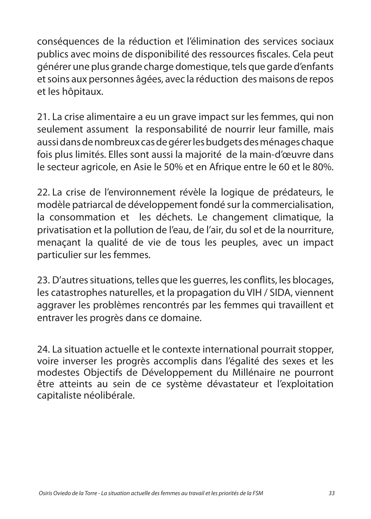conséquences de la réduction et l'élimination des services sociaux publics avec moins de disponibilité des ressources fiscales. Cela peut générer une plus grande charge domestique, tels que garde d'enfants et soins aux personnes âgées, avec la réduction des maisons de repos et les hôpitaux.

21. La crise alimentaire a eu un grave impact sur les femmes, qui non seulement assument la responsabilité de nourrir leur famille, mais aussi dans de nombreux cas de gérer les budgets des ménages chaque fois plus limités. Elles sont aussi la majorité de la main-d'œuvre dans le secteur agricole, en Asie le 50% et en Afrique entre le 60 et le 80%.

22. La crise de l'environnement révèle la logique de prédateurs, le modèle patriarcal de développement fondé sur la commercialisation, la consommation et les déchets. Le changement climatique, la privatisation et la pollution de l'eau, de l'air, du sol et de la nourriture, menaçant la qualité de vie de tous les peuples, avec un impact particulier sur les femmes.

23. D'autres situations, telles que les guerres, les conflits, les blocages, les catastrophes naturelles, et la propagation du VIH / SIDA, viennent aggraver les problèmes rencontrés par les femmes qui travaillent et entraver les progrès dans ce domaine.

24. La situation actuelle et le contexte international pourrait stopper, voire inverser les progrès accomplis dans l'égalité des sexes et les modestes Objectifs de Développement du Millénaire ne pourront être atteints au sein de ce système dévastateur et l'exploitation capitaliste néolibérale.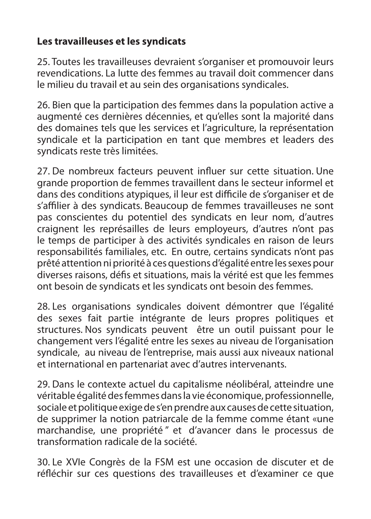#### **Les travailleuses et les syndicats**

25. Toutes les travailleuses devraient s'organiser et promouvoir leurs revendications. La lutte des femmes au travail doit commencer dans le milieu du travail et au sein des organisations syndicales.

26. Bien que la participation des femmes dans la population active a augmenté ces dernières décennies, et qu'elles sont la majorité dans des domaines tels que les services et l'agriculture, la représentation syndicale et la participation en tant que membres et leaders des syndicats reste très limitées.

27. De nombreux facteurs peuvent influer sur cette situation. Une grande proportion de femmes travaillent dans le secteur informel et dans des conditions atypiques, il leur est difficile de s'organiser et de s'affilier à des syndicats. Beaucoup de femmes travailleuses ne sont pas conscientes du potentiel des syndicats en leur nom, d'autres craignent les représailles de leurs employeurs, d'autres n'ont pas le temps de participer à des activités syndicales en raison de leurs responsabilités familiales, etc. En outre, certains syndicats n'ont pas prêté attention ni priorité à ces questions d'égalité entre les sexes pour diverses raisons, défis et situations, mais la vérité est que les femmes ont besoin de syndicats et les syndicats ont besoin des femmes.

28. Les organisations syndicales doivent démontrer que l'égalité des sexes fait partie intégrante de leurs propres politiques et structures. Nos syndicats peuvent être un outil puissant pour le changement vers l'égalité entre les sexes au niveau de l'organisation syndicale, au niveau de l'entreprise, mais aussi aux niveaux national et international en partenariat avec d'autres intervenants.

29. Dans le contexte actuel du capitalisme néolibéral, atteindre une véritable égalité des femmes dans la vie économique, professionnelle, sociale et politique exige de s'en prendre aux causes de cette situation, de supprimer la notion patriarcale de la femme comme étant «une marchandise, une propriété '' et d'avancer dans le processus de transformation radicale de la société.

30. Le XVIe Congrès de la FSM est une occasion de discuter et de réfléchir sur ces questions des travailleuses et d'examiner ce que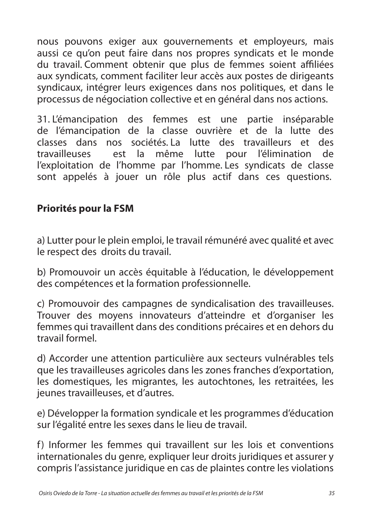nous pouvons exiger aux gouvernements et employeurs, mais aussi ce qu'on peut faire dans nos propres syndicats et le monde du travail. Comment obtenir que plus de femmes soient affiliées aux syndicats, comment faciliter leur accès aux postes de dirigeants syndicaux, intégrer leurs exigences dans nos politiques, et dans le processus de négociation collective et en général dans nos actions.

31. L'émancipation des femmes est une partie inséparable de l'émancipation de la classe ouvrière et de la lutte des classes dans nos sociétés. La lutte des travailleurs et des travailleuses est la même lutte pour l'élimination de l'exploitation de l'homme par l'homme. Les syndicats de classe sont appelés à jouer un rôle plus actif dans ces questions.

#### **Priorités pour la FSM**

a) Lutter pour le plein emploi, le travail rémunéré avec qualité et avec le respect des droits du travail.

b) Promouvoir un accès équitable à l'éducation, le développement des compétences et la formation professionnelle.

c) Promouvoir des campagnes de syndicalisation des travailleuses. Trouver des moyens innovateurs d'atteindre et d'organiser les femmes qui travaillent dans des conditions précaires et en dehors du travail formel.

d) Accorder une attention particulière aux secteurs vulnérables tels que les travailleuses agricoles dans les zones franches d'exportation, les domestiques, les migrantes, les autochtones, les retraitées, les jeunes travailleuses, et d'autres.

e) Développer la formation syndicale et les programmes d'éducation sur l'égalité entre les sexes dans le lieu de travail.

f) Informer les femmes qui travaillent sur les lois et conventions internationales du genre, expliquer leur droits juridiques et assurer y compris l'assistance juridique en cas de plaintes contre les violations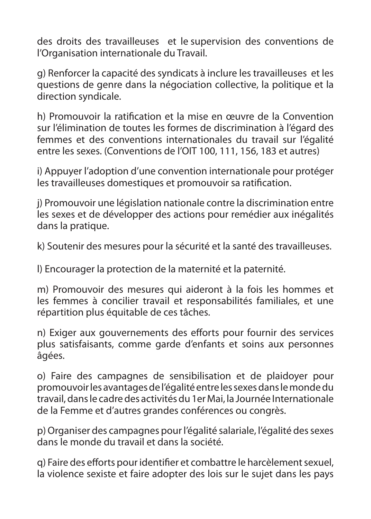des droits des travailleuses et le supervision des conventions de l'Organisation internationale du Travail.

g) Renforcer la capacité des syndicats à inclure les travailleuses et les questions de genre dans la négociation collective, la politique et la direction syndicale.

h) Promouvoir la ratification et la mise en œuvre de la Convention sur l'élimination de toutes les formes de discrimination à l'égard des femmes et des conventions internationales du travail sur l'égalité entre les sexes. (Conventions de l'OIT 100, 111, 156, 183 et autres)

i) Appuyer l'adoption d'une convention internationale pour protéger les travailleuses domestiques et promouvoir sa ratification.

j) Promouvoir une législation nationale contre la discrimination entre les sexes et de développer des actions pour remédier aux inégalités dans la pratique.

k) Soutenir des mesures pour la sécurité et la santé des travailleuses.

l) Encourager la protection de la maternité et la paternité.

m) Promouvoir des mesures qui aideront à la fois les hommes et les femmes à concilier travail et responsabilités familiales, et une répartition plus équitable de ces tâches.

n) Exiger aux gouvernements des efforts pour fournir des services plus satisfaisants, comme garde d'enfants et soins aux personnes âgées.

o) Faire des campagnes de sensibilisation et de plaidoyer pour promouvoir les avantages de l'égalité entre les sexes dans le monde du travail, dans le cadre des activités du 1er Mai, la Journée Internationale de la Femme et d'autres grandes conférences ou congrès.

p) Organiser des campagnes pour l'égalité salariale, l'égalité des sexes dans le monde du travail et dans la société.

q) Faire des efforts pour identifier et combattre le harcèlement sexuel, la violence sexiste et faire adopter des lois sur le sujet dans les pays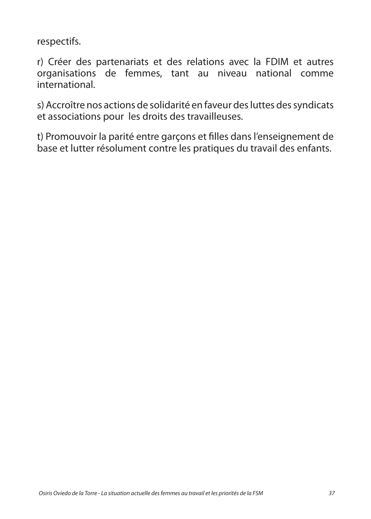respectifs.

r) Créer des partenariats et des relations avec la FDIM et autres organisations de femmes, tant au niveau national comme international.

s) Accroître nos actions de solidarité en faveur des luttes des syndicats et associations pour les droits des travailleuses.

t) Promouvoir la parité entre garçons et filles dans l'enseignement de base et lutter résolument contre les pratiques du travail des enfants.